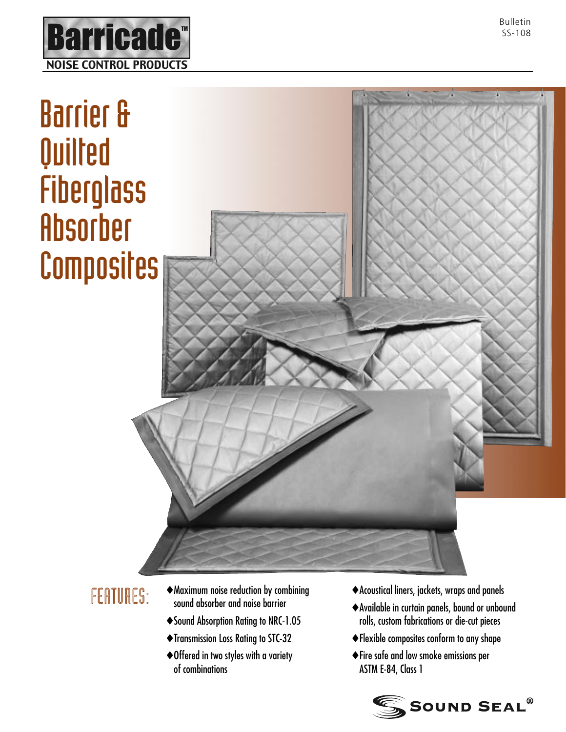

# Barrier & Quilted **Fiberglass** Absorber **Composites**



- FEATURES:  $\rightarrow$  Maximum noise reduction by combining sound absorber and noise barrier
	- ♦ Sound Absorption Rating to NRC-1.05
	- ♦ Transmission Loss Rating to STC-32
	- ♦ Offered in two styles with a variety of combinations
- ♦ Acoustical liners, jackets, wraps and panels
- ♦ Available in curtain panels, bound or unbound rolls, custom fabrications or die-cut pieces
- ♦ Flexible composites conform to any shape
- ♦ Fire safe and low smoke emissions per ASTM E-84, Class 1

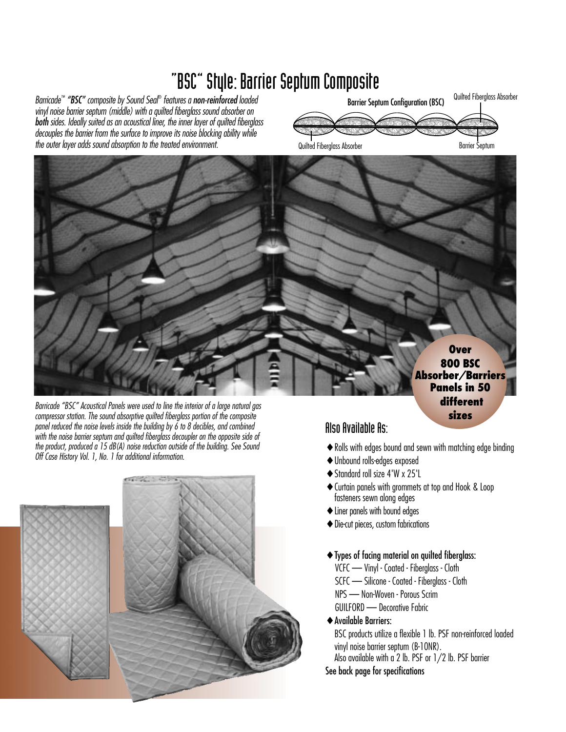# "BSC" Style: Barrier Septum Composite

*Barricade™ "BSC" composite by Sound Seal*® *features a non-reinforcedloaded vinyl noise barrier septum (middle) with a quilted fiberglass sound absorber on bothsides. Ideally suited as an acoustical liner, the inner layer of quilted fiberglass decouples the barrier from the surface to improve its noise blocking ability while the outer layer adds sound absorption to the treated environment.*



Quilted Fiberglass Absorber **Barrier Septum** Barrier Septum

**Over 800 BSC Absorber/Barriers Panels in 50 different sizes**





#### Also Available As:

- ♦ Rolls with edges bound and sewn with matching edge binding
- ♦ Unbound rolls-edges exposed
- ♦ Standard roll size 4'W x 25'L
- ♦ Curtain panels with grommets at top and Hook & Loop fasteners sewn along edges
- ♦ Liner panels with bound edges
- ♦ Die-cut pieces, custom fabrications
- ♦ Types of facing material on quilted fiberglass:
- VCFC Vinyl Coated Fiberglass Cloth SCFC — Silicone - Coated - Fiberglass - Cloth NPS — Non-Woven - Porous Scrim GUILFORD — Decorative Fabric
- ♦ Available Barriers:

BSC products utilize a flexible 1 lb. PSF non-reinforced loaded vinyl noise barrier septum (B-10NR).

Also available with a 2 lb. PSF or 1/2 lb. PSF barrier See back page for specifications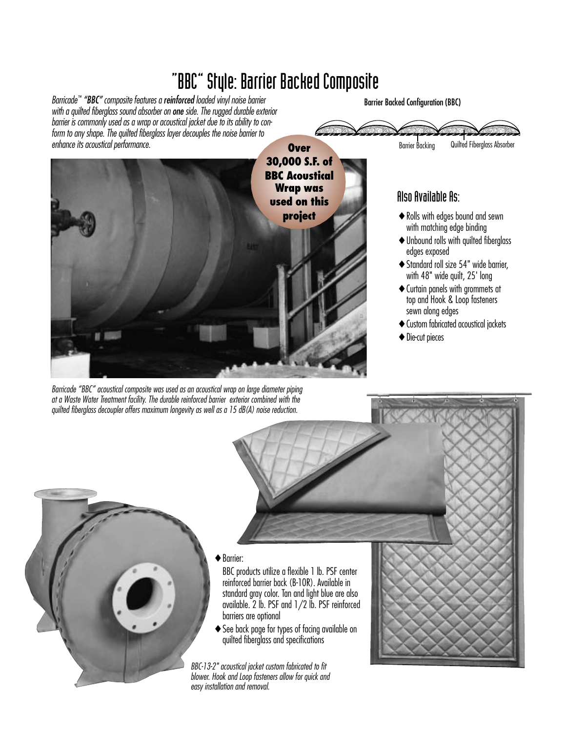# "BBC" Style: Barrier Backed Composite

*Barricade™ "BBC" composite features a reinforcedloaded vinyl noise barrier with a quilted fiberglass sound absorber on one side. The rugged durable exterior barrier is commonly used as a wrap or acoustical jacket due to its ability to conform to any shape. The quilted fiberglass layer decouples the noise barrier to enhance its acoustical performance.*

Barrier Backed Configuration (BBC)

anno de concederando con administrativa

<u>lana Lamadamarkan kan kanana</u>



*Barricade "BBC" acoustical composite was used as an acoustical wrap on large diameter piping at a Waste Water Treatment facility. The durable reinforced barrier exterior combined with the quilted fiberglass decoupler offers maximum longevity as well as a 15 dB(A) noise reduction.*

# Also Available As:

♦ Rolls with edges bound and sewn with matching edge binding

Barrier Backing Quilted Fiberglass Absorber

- $\mathcal{N}_{\mathbf{z}}$ ------ $\sum$ ---

- ♦ Unbound rolls with quilted fiberglass edges exposed
- ♦ Standard roll size 54" wide barrier, with 48" wide quilt, 25' long
- ♦ Curtain panels with grommets at top and Hook & Loop fasteners sewn along edges
- ♦ Custom fabricated acoustical jackets
- ♦ Die-cut pieces



**Barrier:** 

BBC products utilize a flexible 1 lb. PSF center reinforced barrier back (B-10R). Available in standard gray color. Tan and light blue are also available. 2 lb. PSF and 1/2 lb. PSF reinforced barriers are optional

♦ See back page for types of facing available on quilted fiberglass and specifications

*BBC-13-2" acoustical jacket custom fabricated to fit blower. Hook and Loop fasteners allow for quick and easy installation and removal.*